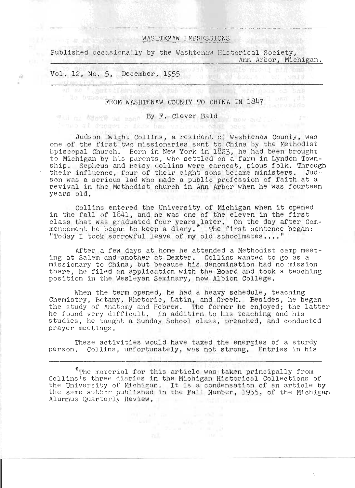## WASHTEMAW IMPRESSIONS

Published occasionally by the Washtenaw Historical Society, Ann Arbor, Michigan. 

time, he rived the

## Vol. 12, No.5, December, 1955

The same and the state of the state

疫

FROM WASHTENAW COUNTY TO CHINA IN 1847

of so ' gentalisersens column of so the mail sid near of hall

## **By F. Clever Bald By F. Lever Bald**

which all deposed a daily bas will be added there were

Judson Dwight Collins, a resident of Washtenaw County, was one of the first two missionaries sent to China by the Methodist Episcopal Church. Born in New York in 1823, he had been brought to Michigan by his parents, who settled on a farm in Lyndon Township. Sepheus and Betsy Collins were earnest, pious folk. Through ship. Sepheus and betsy collins were earnest, plous folk. Inroug<br>their influence, four of their eight sons became ministers. Judson was a serious lad who made a public profession of faith at a revival in the Methodist church in Ann Arbor when he was fourteen years old.

Collins entered the University of Michigan when it opened in the fall of 1841, and he was one of the eleven in the first class that was graduated four years later. On the day after Comclass that was graduated four years. I attilied the day after con-"Today I took sorrowful leave of my old schoolmates...."

After a few days at home he attended a Methodist camp meeting at Salem and another at Dexter. Collins wanted to go as a missionary to China; but because his denomination had no mission there, he filed an application with the Board and took a teaching position in the Wesleyan Seminary, now Albion College.

When the term opened, he had a heavy schedule, teaching Chemistry, Botany, Rhetoric, Latin, and Greek. Besides, he began the study of Anatomy and Hebrew. The former he enjoyed; the latter he found very difficult. In addition to his teaching and his studies, he taught a Sunday School class, preached, and conducted prayer meetings.

These activities would have taxed the energies of a sturdy person. Collins, unfortunately, was not strong. Entries in his

 $*_{\texttt{The material for this article was taken principally from}}$ Collins's three diaries in the Michigan Historical Collections of the University of Michigan. It is a condensation of an article by the same author published in the Fall Number, 1955, of the Michigan Alumnus Quarterly Review.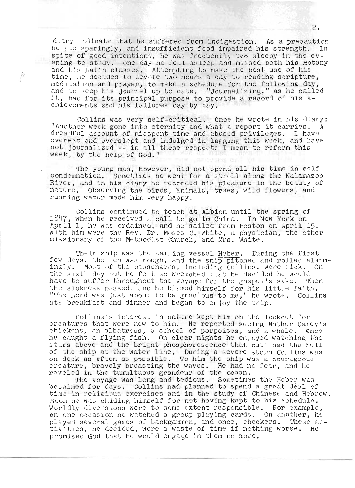diary indicate that he suffered from indigestion. As a precaution he ate sparingly, and insufficient food impaired his strength. In spite of good intentions, he was frequently tro sleepy in the evening to study. One day he fell asleep and missed both his Botany and his Latin classes. Attempting to make the best use of his time, he decided to devote two hours a day to reading scripture, meditation and prayer, to make a schedule for the following day, and to keep his journal up to date. "Journalizing," as he called ind to keep his journal up to date. "Journalizing," as he call<br>t, had for its principal purpose to provide a record of his aco, had for fes principal purpose to prov<br>chievements and his failures day by day.

 $\frac{t^2}{t}$ 

Collins was very self-critical. Once he wrote in his diary: "Collins was very self-critical. Once he wrote in his diary:<br>"Another week gone into eternity and what a report it carries. A another week gone into eternity and what a report recarries. A a caural account of misspent time and abused privileges. I have<br>overeat and overslept and indulged in lagging this week, and have overeat and overslept and indulged in lagging this week, and ha<br>not journalized -- in all these respects I mean to reform this not journalized -- in all these respects  $\overline{I}$  mean to reform this week, by the help of God."

The young man, however, did not spend all his time in selfcondemnation. Sometimes he went for a stroll along the Kalamazoo River, and in his diary he recorded his pleasure in the beauty of nature. Observing the birds, animals, trees, wild flowers, and running water made him very happy.

Collins continued to teach at Albion until the spring of Collins continued to teach at Albron until the spring of<br>1847, when he received a call to go to China. In New York on April 1, he was ordained, and he sailed from Boston on April 15. With him were the Rev. Dr. Moses C. White, a physician, the other missionary of the Me thodist thurch, and Mrs. White.

Their ship was the sailing vessel Heber. During the first f ever, buring the intrinsic mental intervals was the salling vessel heper. Buring the first mental research c<br>ew days, the sea was rough, and the ship pitched and rolled alarmingly. Most of the passengers, including Collins, were sick. On the sixth day out he felt so wretched that he decided he would have to suffer throughout the voyage for the gospel's sake. Then the sickness passed, and he blamed himself for his little faith. "The Lord was just about to be gracious to me," he wrote. Collins ate breakfast and dinner and began to enjoy the trip.

Collins's interest in nature kept him on the lookout for creatures that were new to him. He reported seeing Mother Carey's chickens, an albatross, a school of porpoises, and a whale. Once he caught a flying fish. On clear nights he enjoyed watching the stars above and the bright phosphorescence that outlined the hull of the ship at the water line. During a severe storm Collins was on deck as eften as possible. To him the ship was a courageous creature, bravely breasting the waves. He had no fear, and he reveled in the tumultuous grandeur of the ceean.

. In the tumartacas granded of the ceedn.<br>The voyage was long and tedious. Sometimes the Heber was The voyage was long and tedlous. Sometimes the <u>neber</u> was<br>Decalmed for days. Collins had planned to spend a great deal of recaimed for days. Collins had planned to spend a great deal of.<br>Time in religious exercises and in the study of Chinese and Hebrew. sime in refigious exercises and in the study of chinese and hebrew<br>Soon he was chiding himself for not having kept to his schedule.<br>Vorldly diversions were to some extent responsible. For example, Worldly diversions were to some extent responsible. For example, on one occasion he watched a group playing cards. On another, he played several games of backgammon, and once, checkers. These activities, he decided, were a waste of time if nothing worse. He promis ed God that he would engage in them no more .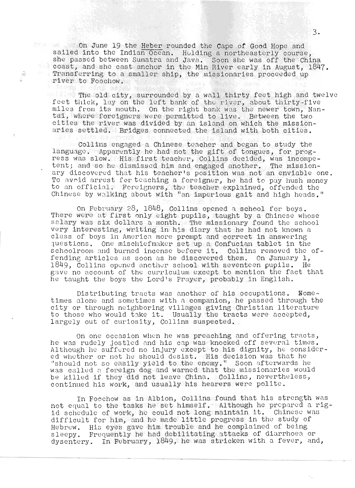On June 19 the Heber rounded the Cape of Good Hope and sailed into the Indian Ocean. Holding a northeasterly course, she passed be tween Sumatra and Java. Soon she was off the China coast, and she cast anchor in the Min River early in August, 1847. Transferring to a smaller ship, the missionaries proceeded up river to Fooebow.

à

The old city, surrounded by a wall thirty feet high and twelve fhe old city, surrounded by a wall thirty feet high and twe<br>eet thick. lay on the left bank of the river. about thirty-five eet thick, lay on the left bank of the river, about thirty-five<br>iles from its mouth. On the right bank was the newer town. Nanthe from its mouth. On the right bank was the newer town, Nam<br>al, where forcigners were permitted to live. Between the two tal, where foreigners were permitted to live. Between the two<br>cities the river was divided by an island on which the missionaries settled. Bridges connected the island with both cities.

 $\blacksquare$  Collins engaged a Chinese teacher and began to study the language. Apparently he had not the gift of tongues, for progress was slow. His first teacher, Collins decided, was incompeess was slow. His lirst teacher, Collins decided, was incompe-<br>ent: and so he dismissed him and engaged another. The missionent; and so he dismissed nim and engaged another. The mission-<br>ry discovered that his teacher's position was not an enviable one. To avoid arrest for teaching a foreigner, he had to pay hush money to an official. Foreigners, the teacher explained, offended the Chinese by walking about with "an imperious gait and high heads."

On February 28, 1848, Collins opened a school for boys. There were at first only eight pupils, taught by a Chinese whose salary was six dollars a month. The missionary found the school very interesting, writing in his diary that he had not known a class of boys in America more prompt and correct in answering lass of boys in America more prompt and correct in answering<br>uestions. One mischiefmaker set up a Confucian tablet in the uestions. One mischiefmaker set up a Confucian tablet in the<br>choolroom and burned incense before it. Collins removed the offending articles as soon as he discovered them. On January 1, 1849, Collins opened another school with seventeen pupils. He gave no account of the curriculum except to mention the fact that he taught the boys the Lord's Prayer, probably in English.

Distributing tracts was another of his occupations. Nometimes alone and sometimes with a companion, he passed through the City or through ne ighboring villages giving Christian literature to those who would take it. Usually the tracts were accepted, largely out of curiosity, Collins suspected.

On one occasion when he was preaching and offering tracts, he was rudely jostled and his cap was knocked off several times.<br>Although he suffered no injury except to his dignity, he considered whether or not he should desist. His decision was that he d whether or not he should desist. His decision was that he<br>should not so easily vield to the enemy ". Soon afterwards he should not so easily yield to the enemy." Soon arterwards he<br>was called a foreign dog and warned that the missionaries would be killed if they did not leave China. Collins, nevertheless, continued his work, and usually his hearers were polite.

n Foochow as in Albion, Collins found that his strength was In Foochow as in Albion, Collins found that his strength was<br>-ot equal to the tasks he set himself. Although he prepared a rig not equal to the tasks he set himself. Although he propared a rig-<br>id schedule of work, he could not long maintain it. Chinese was d schedule of work, he could not long maintain it. Chinese was<br>ifficult for him, and he made little progress in the study of Hebrew. His eyes gave him troubl e and he complained of being ebrew. His eyes gave him trouble and he complained of being<br>leepy. Frequently he had debilitating attacks of diarrhoea or sleepy. Frequently he had debilitating attacks of diarrhoea or<br>dysentery. In February, 1849, he was stricken with a fever, and,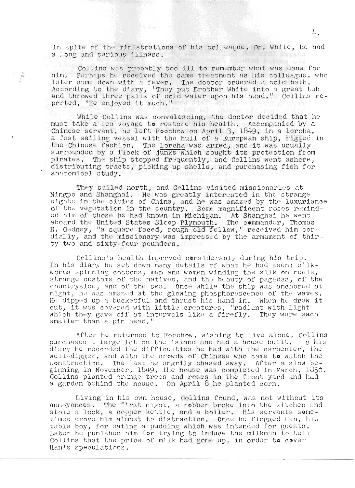in spite of the ministrations of his colleague, Dr. White, he had a long and serious illness. **With Arid** 

Collins was probably too ill to remember what was done for<br>him. Perhaps he received the same treatment as his colleague, who later came down with a fever. The doctor ordered a cold bath.<br>According to the diary, "They put Erother White into a great tub<br>and throwed three pails of cold water upon his head." Collins reported, "He enjoyed it much."

 $-10.3$ 

 $\widehat{T_{\rm eq}}^{\rm A}$ 

While Collins was convalescing, the doctor decided that he must take a sea voyage to restore his health. Accompanied by a Chinese servant, he left Foochow on April 3, 1849, in a lorcha, a fast sailing vessel with the hull of a European ship, rigged in the Chinese fashion. The lorcha was armed, and it was usually surrounded by a flock of junks which sought its protection from pirates. The ship stopped frequently, and Collins went ashore, distributing tracts, picking up shells, and purchasing fish for anatomical study. Caricano alumnos

They sailed north, and Collins visited missionaries at Ningpo and Shanghai. He was greatly interested in the strange sights in the cities of China, and he was amazed by the luxuriance of the vegetation in the country. Some magnificent roses reminded him of those he had known in Michigan. At Shanghai he went aboard the United States Slcop Plymouth. The commander, Thomas R. Gedney, "a square-faced, rough cld fellow," received him cordially, and the missionary was impressed by the armament of thirty-two and sixty-four pounders.

Collins's health improved considerably during his trip. In his diary he set down many details of what he had seen: silkworms spinning cocoons, men and women winding the silk on reels, strange customs of the natives, and the beauty of pagadas, of the countryside, and of the sea. Once while the ship was anchored at night, he was amazed at the glowing phosphorescence of the waves. He dipped up a bucketful and thrust his hand in. When he drew it out. it was covered with little creatures, "radiant with light which they gave off at intervals like a firefly. They were each smaller than a pin head."

After he returned to Foochow, wishing to live alone, Collins<br>purchased a large lot on the island and had a house built. In his diary he recorded the difficulties he had with the carpenter, the well-digger, and with the crowds of Chinese who came to watch the construction. The last he angrily chased away. After a slow beginning in November, 1849, the house was completed in March, 1850. Collins planted orange trees and roses in the front yard and had a garden behind the house. On April 8 he planted corn.

Living in his own house, Collins found, was not without its annoyances. The first night, a robber broke into the kitchen and stole a lock, a copper kettle, and a boiler. His servants sometimes drove him almost to distraction. Once he flogged Han, his table boy, for eating a pudding which was intended for guests. Later he punished him for trying to induce the milkman to tell Collins that the price of milk had gone up, in order to cover Han's speculations.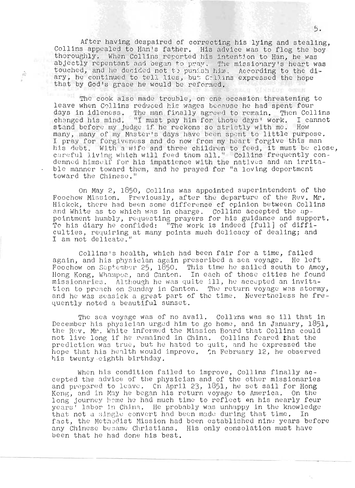After having despaired of correcting his lying and stealing, Collins appealed to Han's father. His advice was to flog the boy thoroughly. When Collins reported his intention to Han, he was abjectly repentant and began to pray. The missionary's heart was touched, and he decided not to punish him. According to the di-<br>ary, he continued to tell lies, but Callins expressed the hope that by God's grace he would be reformed.

 $\frac{1}{2}\frac{\lambda}{\lambda_{\rm F}}$ 

The cook also made trouble, on one occasion threatening to leave when Collins reduced his wages because he had spent four days in idleness. The man finally agreed to remain. Then Collin<br>changed his mind. "I must pay him for those days' work. I canno<br>stand before my judge if he reckons so strictly with me. How<br>many, many of my Master's days ha The man finally agreed to remain. Then Collins I cannot I pray for forgiveness and do now from my heart forgive this man his debt. With a wife and three children to feed, it must be close, careful living which will feed them all." Collins frequently condemned himself for his impatience with the natives and an irritable manner toward them, and he prayed for "a loving deportment toward the Chinese."

On May 2, 1850, Collins was appointed superintendent of the Foochow Mission. Previously, after the departure of the Rev. Mr. Hickek, there had been some difference of opinion between Collins and White as to which was in charge. Collins accepted the ap-<br>pointment humbly, requesting prayers for his guidance and support. To his diary he confided: "The work is indeed [full] of difficulties, requiring at many points much delicacy of dealing; and I am not delicate.

Collins's health, which had been fair for a time, failed again, and his physician again prescribed a sea voyage. He left Foochow on September 25, 1850. This time he sailed south to Amoy, Hong Kong, Whampoa, and Canton. In each of those cities he found missionaries. Although he was quite ill, he accepted an invitation to preach on Sunday in Canton. The return voyage was stormy, and he was seasick a great part of the time. Nevertheless he frequently noted a beautiful sunset.

The sea voyage was of no avail. Collins was so ill that in December his physician urged him to go home, and in January, 1851, the Rev. Mr. White informed the Mission Board that Collins could not live long if he remained in China. Collins feared that the prediction was true, but he hated to quit, and he expressed the hope that his health would improve. In February 12, he observed his twenty cighth birthday.

When his condition failed to improve, Collins finally accepted the advice of the physician and of the other missionaries and prepared to leave. Cn April 23, 1851, he set sail for Hong Kong, and in May he began his return voyage to America. On the long journey home he had much time to reflect on his nearly four years' labor in China. He probably was unhappy in the knowledge that not a single convert had been made during that time. In fact, the Methodist Mission had been established nine years before any Chinese became Christians. His only consolation must have been that he had done his best.